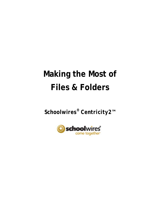# **Making the Most of Files & Folders**

*Schoolwires® Centricity2***™**

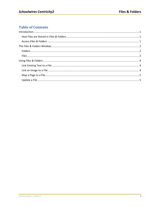## **Table of Contents**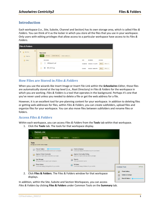### <span id="page-4-0"></span>**Introduction**

Each workspace (i.e., Site, Subsite, Channel and Section) has its own storage area, which is called *Files & Folders.* You can think of it as the locker in which you store all the files that you use in your workspace. Only users with editing privileges that allow access to a particular workspace have access to its *Files & Folders*.

| <b>Files &amp; Folders</b>                                               |                                                                              |         |                               |                     |  |  |
|--------------------------------------------------------------------------|------------------------------------------------------------------------------|---------|-------------------------------|---------------------|--|--|
| $\circledcirc$<br>$\blacktriangledown$<br>Site Files<br>Graphics<br>lió. | <b>Top Level</b><br>Refresh<br>Delete Selected<br>Upload<br>Folder Actions w |         |                               |                     |  |  |
| Syllabi                                                                  | FILE NAME                                                                    | SIZE    | MODIFIED                      | <b>ACTIONS</b>      |  |  |
|                                                                          | C2PgAppHC.pdf<br>O)                                                          |         | 553.92 KB 5/4/2012 1:11:22 PM | Move<br>More w      |  |  |
|                                                                          | $\blacksquare$<br>IMG_0073.jpg<br>ü                                          | 9.94 KB | 5/4/2012 1:09:54 PM           | More $\Psi$<br>Move |  |  |

#### <span id="page-4-1"></span>**How Files are Stored in** *Files & Folders*

When you use the wizards like Insert Image or Insert File Link within the *Schoolwires Editor*, those files are automatically stored at the top level (i.e., Root Directory) in *Files & Folders* for the workspace in which you are working. *Files & Folders* is a tool that operates in the background. Perhaps it's one that you've never used unless you needed to delete a file or get the web address for a file.

However, it is an excellent tool for pre-planning content for your workspace. In addition to deleting files or getting web addresses for files, within *Files & Folders*, you can create subfolders, upload files and organize files for your workspace. You can also move files between subfolders and rename files or folders.

#### <span id="page-4-2"></span>**Access** *Files & Folders*

Within each workspace, you can access *Files & Folders* from the **Tools** tab within that workspace.

1. Click the **Tools** tab. The tools for that workspace display.

| <b>Tools</b>   | <b>Tools</b><br><b>Editors &amp; Viewers</b><br><b>Statistics</b><br>Summary        | How do I?                                                                           |                     |
|----------------|-------------------------------------------------------------------------------------|-------------------------------------------------------------------------------------|---------------------|
|                | Manage your section tools and apps.                                                 |                                                                                     |                     |
| 圖              | Files & Folders<br>Organize the files and folders used in your workspace.           | Forms & Surveys<br>E<br>Create and manage forms and surveys for your section.       |                     |
|                | <b>Approve Visitor Comments</b><br>Approve or reject visitor comments on your apps. | <b>Approve Community Editing</b><br>Approve or reject community edits to your apps. |                     |
|                | App Manager<br>Manage and edit the apps in your workspace.                          | Reports<br>View your section's reports.                                             |                     |
| $\blacksquare$ | <b>Photo Gallery</b><br>Create and manage photo galleries for your section.         | Minibase<br>Create and manage minibases for your section.                           | <b>Common Tools</b> |

In addition, within the Site, Subsite and Section Workspaces, you can access *Files & Folders* by clicking **Files & Folders** under Common Tools on the **Summary** tab.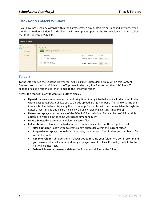## <span id="page-5-0"></span>**The** *Files & Folders* **Window**

If you have not used any wizards within the *Editor*, created any subfolders or uploaded any files, when the Files & Folders window first displays, it will be empty. It opens at the Top Level, which is also called the Root Directory or Site Files.

| Files & Folders                                                          |                                                                              |                                                  |  |  |  |
|--------------------------------------------------------------------------|------------------------------------------------------------------------------|--------------------------------------------------|--|--|--|
| $\circledcirc$<br>$\overline{\mathbf{v}}$<br>Site Files<br>B<br>Graphics | <b>Top Level</b><br>Refresh<br>Delete Selected<br>Upload<br>Folder Actions w |                                                  |  |  |  |
| Syllabi                                                                  | FILE NAME                                                                    | SIZE<br>MODIFIED<br><b>ACTIONS</b>               |  |  |  |
|                                                                          | C2PgAppHC.pdf<br>o                                                           | Move<br>More w<br>553.92 KB 5/4/2012 1:11:22 PM  |  |  |  |
|                                                                          | $\blacksquare$<br>IMG_0073.jpg<br>ia)                                        | More w<br>Move<br>5/4/2012 1:09:54 PM<br>9.94 KB |  |  |  |

#### <span id="page-5-1"></span>**Folders**

To the left, you see the Content Brower for *Files & Folders*. Subfolders display within this Content Browser. You can add subfolders to the Top Level folder (i.e., Site Files) or to other subfolders. To expand or close a folder, click the triangle to the left of the folder.

Across the top within any folder, four buttons display.

- **Upload**—allows you to browse out and bring files directly into that specific folder or subfolder within *Files & Folders*. It allows you to quickly upload a large number of files and organize them into a subfolder before displaying them in an app. Those files will then be available through the Editor's Insert Image and Insert File Link wizards by selecting 'Existing [Image/File]'.
- **Refresh**—displays a current view of the *Files & Folders* window. This can be useful if multiple editors are working in the same workspace simultaneously.
- **Delete Selected**—permanently deletes selected files.
- **Folder Actions**—Here are the folder actions that are available from this drop-down list.
	- **New Subfolde**r—allows you to create a new subfolder within the current folder.
	- **Properties**—displays the folder's name, size, the number off subfolders and number of files within the folder
	- **Rename Folder** (subfolders only—allows you to rename your folder. We don't recommend you rename folders if you have already displayed any of its files. If you do, the links to the files will be incorrect.
	- **Delete Folder**—permanently deletes the folder and all files in the folder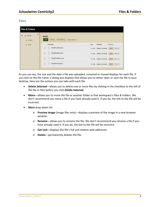#### <span id="page-6-0"></span>**Files**

| <b>Files &amp; Folders</b>                          |                                                                   |                                                        |  |  |  |  |
|-----------------------------------------------------|-------------------------------------------------------------------|--------------------------------------------------------|--|--|--|--|
| Ø<br>$\blacktriangledown$<br>Site Files<br>Graphics | Syllabi<br>Refresh<br>Delete Selected<br>Upload<br>Folder Actions |                                                        |  |  |  |  |
| Syllabi                                             | FILE NAME                                                         | SIZE<br><b>MODIFIED</b><br><b>ACTIONS</b>              |  |  |  |  |
|                                                     | WeekFourHist.docx<br>W.                                           | Move<br>More $\Psi$<br>5/4/2012 1:42:08 PM<br>13.12 KB |  |  |  |  |
|                                                     | WeekOneHist.docx<br>w                                             | Move<br>More $\Psi$<br>13.10 KB<br>5/4/2012 1:42:08 PM |  |  |  |  |
|                                                     | WeekThreeHist.docx<br>M                                           | Move<br>More $\Psi$<br>5/4/2012 1:42:09 PM<br>13.11 KB |  |  |  |  |
|                                                     | WeekTwoHist.docx<br>$\omega$                                      | Move<br>More $\Psi$<br>13.11 KB<br>5/4/2012 1:42:09 PM |  |  |  |  |
|                                                     |                                                                   |                                                        |  |  |  |  |

As you can see, the size and the date a file was uploaded, renamed or moved displays for each file. If you click on the file name, a dialog box displays that allows you to either open or save the file to your desktop. Here are the actions you can take with each file.

- **Delete Selected**—allows you to delete one or more files by clicking in the checkbox to the left of the file or files before you click **Delete Selected**.
- **Move**—allows you to move the file to another folder in that workspace's *Files & Folders*. We don't recommend you move a file if you have already used it. If you do, the link to the file will be incorrect.
- **More** drop-down list
	- o **Preview Image** (image files only)—displays a preview of the image in a new browser window.
	- o **Rename**—allows you to rename the file. We don't recommend you rename a file if you have already used it. If you do, the link to the file will be incorrect.
	- o **Get Link**—displays the file's full and relative web addresses.
	- o **Delete**—permanently deletes the file.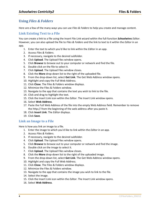## <span id="page-7-0"></span>**Using** *Files & Folders*

Here are a few of the many ways you can use *Files & Folders* to help you create and manage content.

#### <span id="page-7-1"></span>**Link Existing Text to a File**

You can create a link to a file using the Insert File Link wizard within the full-function *Schoolwires Editor*. However, you can also upload the file to *Files & Folders* and the link to text to it within the *Editor* in an app.

- 1. Enter the text to which you'd like to link within the *Editor* in an app.
- 2. Access *Files & Folders*.
- 3. If necessary, navigate to the desired subfolder.
- 4. Click **Upload**. The Upload Files window opens.
- 5. Click **Browse** to browse out to your computer or network and find the file.
- 6. Double click on the file to select it.
- 7. Click **Upload**. The Upload Files window closes.
- 8. Click the **More** drop-down list to the right of the uploaded file.
- 9. From the drop-down list, select **Get Link**. The Get Web Address window opens.
- 10. Highlight and copy the Full Web Address.
- 11. Click **Close**. The Files & Folders window displays.
- 12. Minimize the Files & Folders window.
- 13. Navigate to the app that contains the text you wish to link to the file.
- 14. Click and drag to highlight the text.
- 15. Click the Insert Link icon within the *Editor*. The Insert Link window opens.
- 16. Select **Web Address**.
- 17. Paste the Full Web Address of the file into the empty Web Address field. Remember to remove the http:// from the beginning of the web address after you paste it.
- 18. Click **Insert Link**. The *Editor* displays.
- 19. Click **Save**.

#### <span id="page-7-2"></span>**Link an Image to a File**

Here is how you link an image to a file.

- 1. Enter the image to which you'd like to link within the *Editor* in an app.
- 2. Access *Files & Folders*.
- 3. If necessary, navigate to the desired subfolder.
- 4. Click **Upload**. The Upload Files window opens.
- 5. Click **Browse** to browse out to your computer or network and find the image.
- 6. Double click on the image to select it.
- 7. Click **Upload**. The Upload Files window closes.
- 8. Click the **More** drop-down list to the right of the uploaded image.
- 9. From the drop-down list, select **Get Link**. The Get Web Address window opens.
- 10. Highlight and copy the Full Web Address.
- 11. Click **Close**. The Files & Folders window displays.
- 12. Minimize the Files & Folders window.
- 13. Navigate to the app that contains the image you wish to link to the file.
- 14. Select the image.
- 15. Click the Insert Link icon within the *Editor*. The Insert Link window opens.
- 16. Select **Web Address**.